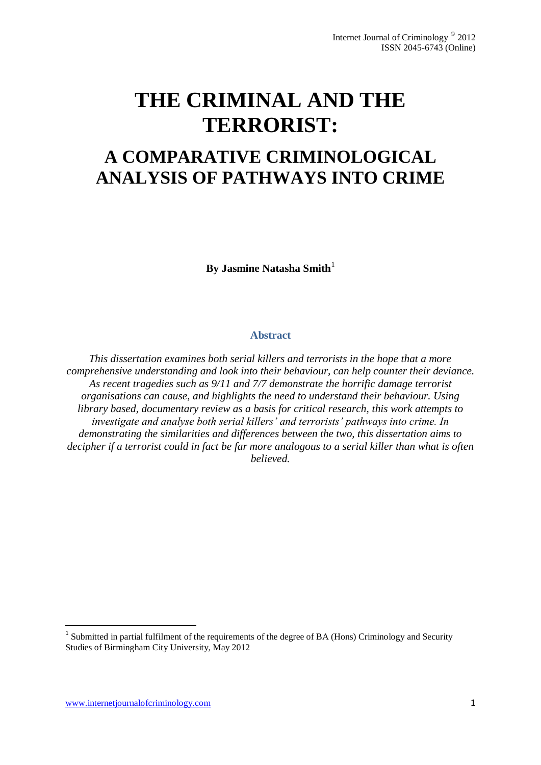# **THE CRIMINAL AND THE TERRORIST:**

## **A COMPARATIVE CRIMINOLOGICAL ANALYSIS OF PATHWAYS INTO CRIME**

**By Jasmine Natasha Smith**<sup>1</sup>

#### **Abstract**

*This dissertation examines both serial killers and terrorists in the hope that a more comprehensive understanding and look into their behaviour, can help counter their deviance. As recent tragedies such as 9/11 and 7/7 demonstrate the horrific damage terrorist organisations can cause, and highlights the need to understand their behaviour. Using library based, documentary review as a basis for critical research, this work attempts to investigate and analyse both serial killers' and terrorists' pathways into crime. In demonstrating the similarities and differences between the two, this dissertation aims to decipher if a terrorist could in fact be far more analogous to a serial killer than what is often believed.* 

<sup>&</sup>lt;sup>1</sup> Submitted in partial fulfilment of the requirements of the degree of BA (Hons) Criminology and Security Studies of Birmingham City University, May 2012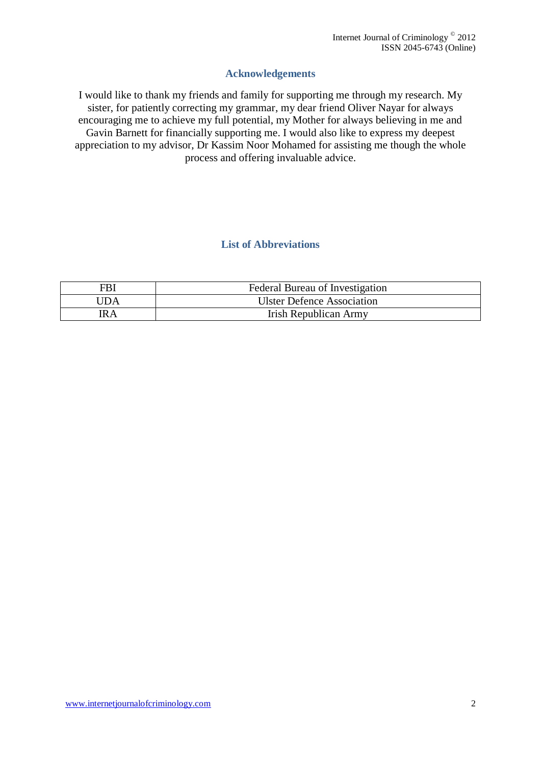## **Acknowledgements**

I would like to thank my friends and family for supporting me through my research. My sister, for patiently correcting my grammar, my dear friend Oliver Nayar for always encouraging me to achieve my full potential, my Mother for always believing in me and Gavin Barnett for financially supporting me. I would also like to express my deepest appreciation to my advisor, Dr Kassim Noor Mohamed for assisting me though the whole process and offering invaluable advice.

## **List of Abbreviations**

| FBI        | Federal Bureau of Investigation   |
|------------|-----------------------------------|
| <b>JDA</b> | <b>Ulster Defence Association</b> |
| IR A       | <b>Irish Republican Army</b>      |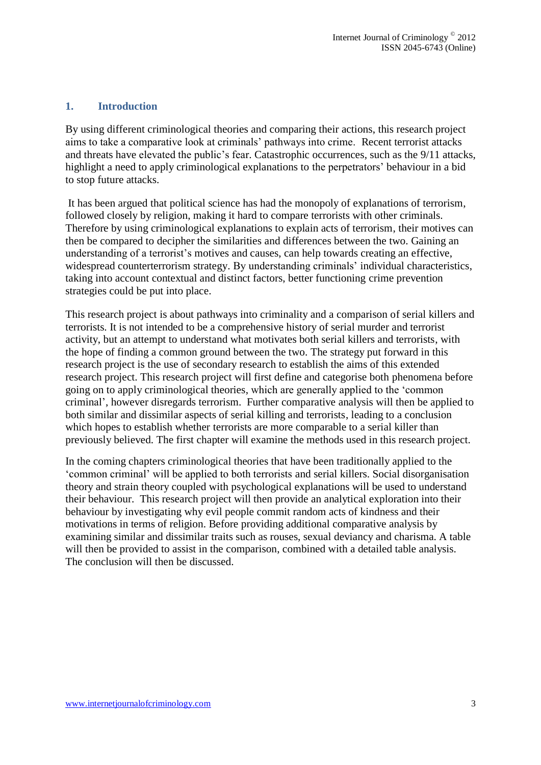#### **1. Introduction**

By using different criminological theories and comparing their actions, this research project aims to take a comparative look at criminals' pathways into crime. Recent terrorist attacks and threats have elevated the public's fear. Catastrophic occurrences, such as the 9/11 attacks, highlight a need to apply criminological explanations to the perpetrators' behaviour in a bid to stop future attacks.

It has been argued that political science has had the monopoly of explanations of terrorism, followed closely by religion, making it hard to compare terrorists with other criminals. Therefore by using criminological explanations to explain acts of terrorism, their motives can then be compared to decipher the similarities and differences between the two. Gaining an understanding of a terrorist's motives and causes, can help towards creating an effective, widespread counterterrorism strategy. By understanding criminals' individual characteristics, taking into account contextual and distinct factors, better functioning crime prevention strategies could be put into place.

This research project is about pathways into criminality and a comparison of serial killers and terrorists. It is not intended to be a comprehensive history of serial murder and terrorist activity, but an attempt to understand what motivates both serial killers and terrorists, with the hope of finding a common ground between the two. The strategy put forward in this research project is the use of secondary research to establish the aims of this extended research project. This research project will first define and categorise both phenomena before going on to apply criminological theories, which are generally applied to the 'common criminal', however disregards terrorism. Further comparative analysis will then be applied to both similar and dissimilar aspects of serial killing and terrorists, leading to a conclusion which hopes to establish whether terrorists are more comparable to a serial killer than previously believed. The first chapter will examine the methods used in this research project.

In the coming chapters criminological theories that have been traditionally applied to the 'common criminal' will be applied to both terrorists and serial killers. Social disorganisation theory and strain theory coupled with psychological explanations will be used to understand their behaviour. This research project will then provide an analytical exploration into their behaviour by investigating why evil people commit random acts of kindness and their motivations in terms of religion. Before providing additional comparative analysis by examining similar and dissimilar traits such as rouses, sexual deviancy and charisma. A table will then be provided to assist in the comparison, combined with a detailed table analysis. The conclusion will then be discussed.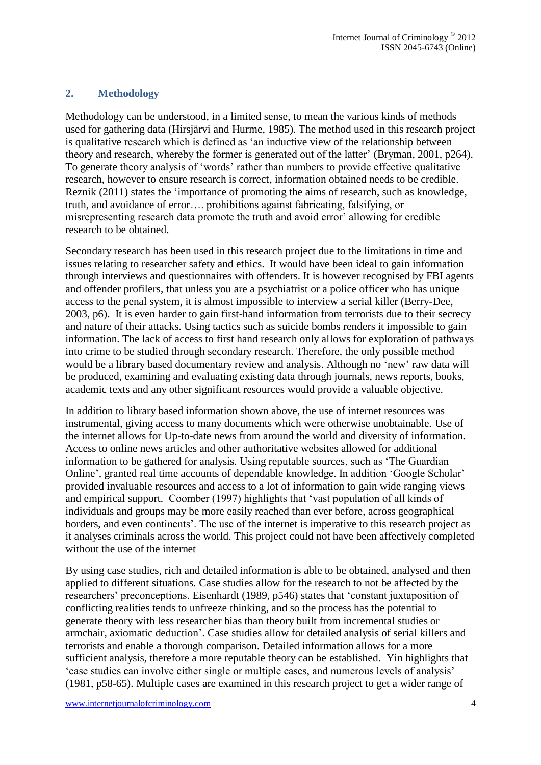## **2. Methodology**

Methodology can be understood, in a limited sense, to mean the various kinds of methods used for gathering data (Hirsjärvi and Hurme, 1985). The method used in this research project is qualitative research which is defined as 'an inductive view of the relationship between theory and research, whereby the former is generated out of the latter' (Bryman, 2001, p264). To generate theory analysis of 'words' rather than numbers to provide effective qualitative research, however to ensure research is correct, information obtained needs to be credible. Reznik (2011) states the 'importance of promoting the aims of research, such as knowledge, truth, and avoidance of error…. prohibitions against fabricating, falsifying, or misrepresenting research data promote the truth and avoid error' allowing for credible research to be obtained.

Secondary research has been used in this research project due to the limitations in time and issues relating to researcher safety and ethics. It would have been ideal to gain information through interviews and questionnaires with offenders. It is however recognised by FBI agents and offender profilers, that unless you are a psychiatrist or a police officer who has unique access to the penal system, it is almost impossible to interview a serial killer (Berry-Dee, 2003, p6). It is even harder to gain first-hand information from terrorists due to their secrecy and nature of their attacks. Using tactics such as suicide bombs renders it impossible to gain information. The lack of access to first hand research only allows for exploration of pathways into crime to be studied through secondary research. Therefore, the only possible method would be a library based documentary review and analysis. Although no 'new' raw data will be produced, examining and evaluating existing data through journals, news reports, books, academic texts and any other significant resources would provide a valuable objective.

In addition to library based information shown above, the use of internet resources was instrumental, giving access to many documents which were otherwise unobtainable. Use of the internet allows for Up-to-date news from around the world and diversity of information. Access to online news articles and other authoritative websites allowed for additional information to be gathered for analysis. Using reputable sources, such as 'The Guardian Online', granted real time accounts of dependable knowledge. In addition 'Google Scholar' provided invaluable resources and access to a lot of information to gain wide ranging views and empirical support. Coomber (1997) highlights that 'vast population of all kinds of individuals and groups may be more easily reached than ever before, across geographical borders, and even continents'. The use of the internet is imperative to this research project as it analyses criminals across the world. This project could not have been affectively completed without the use of the internet

By using case studies, rich and detailed information is able to be obtained, analysed and then applied to different situations. Case studies allow for the research to not be affected by the researchers' preconceptions. Eisenhardt (1989, p546) states that 'constant juxtaposition of conflicting realities tends to unfreeze thinking, and so the process has the potential to generate theory with less researcher bias than theory built from incremental studies or armchair, axiomatic deduction'. Case studies allow for detailed analysis of serial killers and terrorists and enable a thorough comparison. Detailed information allows for a more sufficient analysis, therefore a more reputable theory can be established. Yin highlights that 'case studies can involve either single or multiple cases, and numerous levels of analysis' (1981, p58-65). Multiple cases are examined in this research project to get a wider range of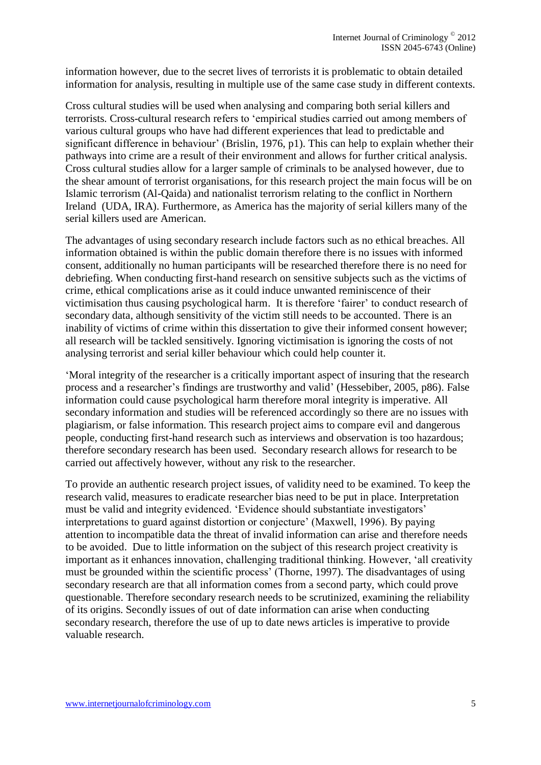information however, due to the secret lives of terrorists it is problematic to obtain detailed information for analysis, resulting in multiple use of the same case study in different contexts.

Cross cultural studies will be used when analysing and comparing both serial killers and terrorists. Cross-cultural research refers to 'empirical studies carried out among members of various cultural groups who have had different experiences that lead to predictable and significant difference in behaviour' (Brislin, 1976, p1). This can help to explain whether their pathways into crime are a result of their environment and allows for further critical analysis. Cross cultural studies allow for a larger sample of criminals to be analysed however, due to the shear amount of terrorist organisations, for this research project the main focus will be on Islamic terrorism (Al-Qaida) and nationalist terrorism relating to the conflict in Northern Ireland (UDA, IRA). Furthermore, as America has the majority of serial killers many of the serial killers used are American.

The advantages of using secondary research include factors such as no ethical breaches. All information obtained is within the public domain therefore there is no issues with informed consent, additionally no human participants will be researched therefore there is no need for debriefing. When conducting first-hand research on sensitive subjects such as the victims of crime, ethical complications arise as it could induce unwanted reminiscence of their victimisation thus causing psychological harm. It is therefore 'fairer' to conduct research of secondary data, although sensitivity of the victim still needs to be accounted. There is an inability of victims of crime within this dissertation to give their informed consent however; all research will be tackled sensitively. Ignoring victimisation is ignoring the costs of not analysing terrorist and serial killer behaviour which could help counter it.

'Moral integrity of the researcher is a critically important aspect of insuring that the research process and a researcher's findings are trustworthy and valid' (Hessebiber, 2005, p86). False information could cause psychological harm therefore moral integrity is imperative. All secondary information and studies will be referenced accordingly so there are no issues with plagiarism, or false information. This research project aims to compare evil and dangerous people, conducting first-hand research such as interviews and observation is too hazardous; therefore secondary research has been used. Secondary research allows for research to be carried out affectively however, without any risk to the researcher.

To provide an authentic research project issues, of validity need to be examined. To keep the research valid, measures to eradicate researcher bias need to be put in place. Interpretation must be valid and integrity evidenced. 'Evidence should substantiate investigators' interpretations to guard against distortion or conjecture' (Maxwell, 1996). By paying attention to incompatible data the threat of invalid information can arise and therefore needs to be avoided. Due to little information on the subject of this research project creativity is important as it enhances innovation, challenging traditional thinking. However, 'all creativity must be grounded within the scientific process' (Thorne, 1997). The disadvantages of using secondary research are that all information comes from a second party, which could prove questionable. Therefore secondary research needs to be scrutinized, examining the reliability of its origins. Secondly issues of out of date information can arise when conducting secondary research, therefore the use of up to date news articles is imperative to provide valuable research.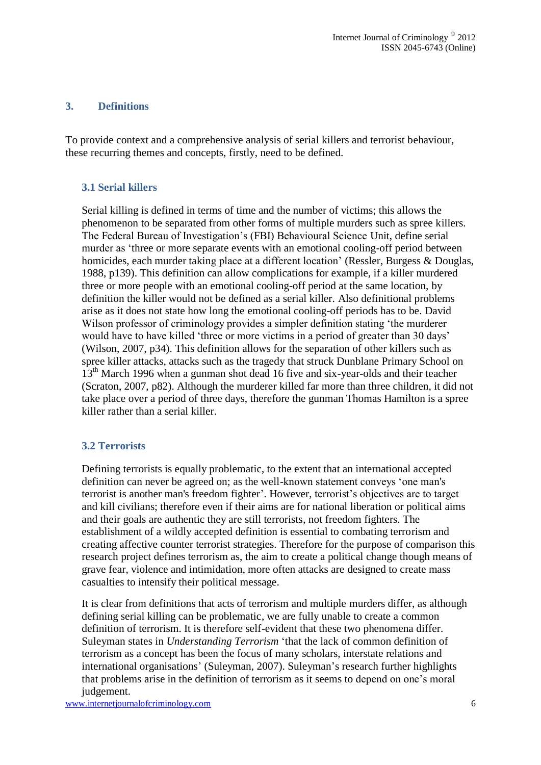#### **3. Definitions**

To provide context and a comprehensive analysis of serial killers and terrorist behaviour, these recurring themes and concepts, firstly, need to be defined.

#### **3.1 Serial killers**

Serial killing is defined in terms of time and the number of victims; this allows the phenomenon to be separated from other forms of multiple murders such as spree killers. The Federal Bureau of Investigation's (FBI) Behavioural Science Unit, define serial murder as 'three or more separate events with an emotional cooling-off period between homicides, each murder taking place at a different location' (Ressler, Burgess & Douglas, 1988, p139). This definition can allow complications for example, if a killer murdered three or more people with an emotional cooling-off period at the same location, by definition the killer would not be defined as a serial killer. Also definitional problems arise as it does not state how long the emotional cooling-off periods has to be. David Wilson professor of criminology provides a simpler definition stating 'the murderer would have to have killed 'three or more victims in a period of greater than 30 days' (Wilson, 2007, p34). This definition allows for the separation of other killers such as spree killer attacks, attacks such as the tragedy that struck Dunblane Primary School on 13<sup>th</sup> March 1996 when a gunman shot dead 16 five and six-year-olds and their teacher (Scraton, 2007, p82). Although the murderer killed far more than three children, it did not take place over a period of three days, therefore the gunman Thomas Hamilton is a spree killer rather than a serial killer.

#### **3.2 Terrorists**

Defining terrorists is equally problematic, to the extent that an international accepted definition can never be agreed on; as the well-known statement conveys 'one man's terrorist is another man's freedom fighter'. However, terrorist's objectives are to target and kill civilians; therefore even if their aims are for national liberation or political aims and their goals are authentic they are still terrorists, not freedom fighters. The establishment of a wildly accepted definition is essential to combating terrorism and creating affective counter terrorist strategies. Therefore for the purpose of comparison this research project defines terrorism as, the aim to create a political change though means of grave fear, violence and intimidation, more often attacks are designed to create mass casualties to intensify their political message.

It is clear from definitions that acts of terrorism and multiple murders differ, as although defining serial killing can be problematic, we are fully unable to create a common definition of terrorism. It is therefore self-evident that these two phenomena differ. Suleyman states in *Understanding Terrorism* 'that the lack of common definition of terrorism as a concept has been the focus of many scholars, interstate relations and international organisations' (Suleyman, 2007). Suleyman's research further highlights that problems arise in the definition of terrorism as it seems to depend on one's moral judgement.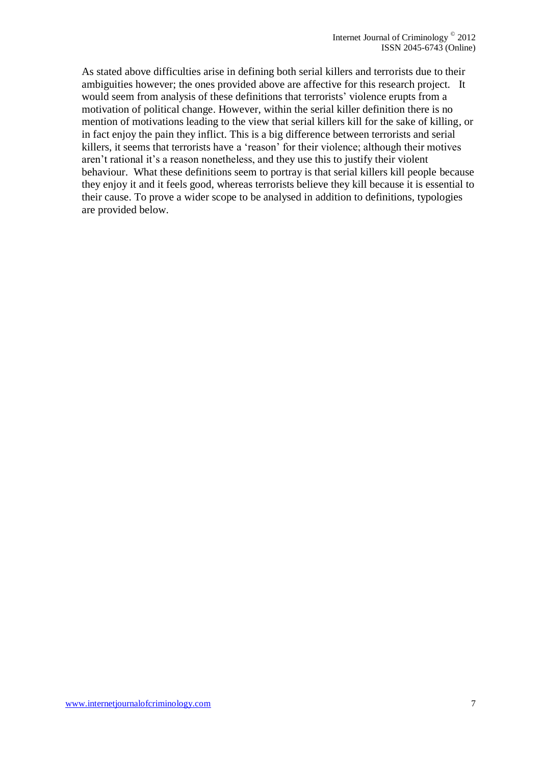As stated above difficulties arise in defining both serial killers and terrorists due to their ambiguities however; the ones provided above are affective for this research project. It would seem from analysis of these definitions that terrorists' violence erupts from a motivation of political change. However, within the serial killer definition there is no mention of motivations leading to the view that serial killers kill for the sake of killing, or in fact enjoy the pain they inflict. This is a big difference between terrorists and serial killers, it seems that terrorists have a 'reason' for their violence; although their motives aren't rational it's a reason nonetheless, and they use this to justify their violent behaviour. What these definitions seem to portray is that serial killers kill people because they enjoy it and it feels good, whereas terrorists believe they kill because it is essential to their cause. To prove a wider scope to be analysed in addition to definitions, typologies are provided below.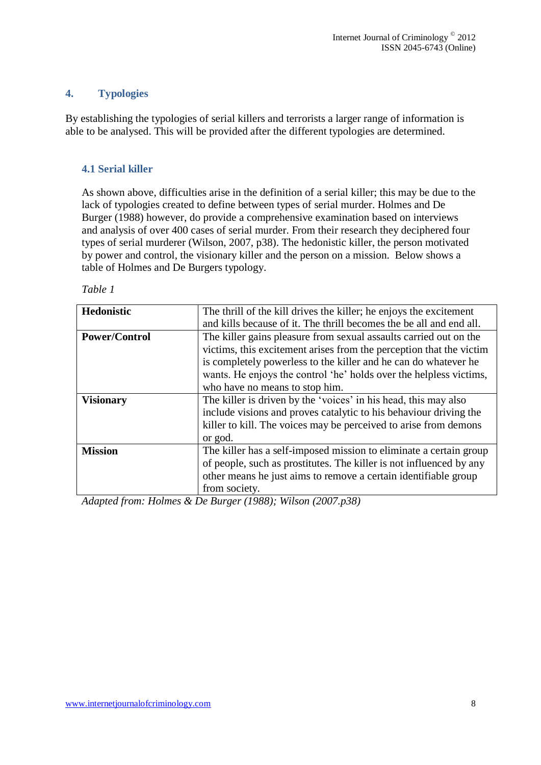## **4. Typologies**

By establishing the typologies of serial killers and terrorists a larger range of information is able to be analysed. This will be provided after the different typologies are determined.

## **4.1 Serial killer**

As shown above, difficulties arise in the definition of a serial killer; this may be due to the lack of typologies created to define between types of serial murder. Holmes and De Burger (1988) however, do provide a comprehensive examination based on interviews and analysis of over 400 cases of serial murder. From their research they deciphered four types of serial murderer (Wilson, 2007, p38). The hedonistic killer, the person motivated by power and control, the visionary killer and the person on a mission. Below shows a table of Holmes and De Burgers typology.

| anı<br>Ω |  |
|----------|--|
|----------|--|

| <b>Hedonistic</b>    | The thrill of the kill drives the killer; he enjoys the excitement  |  |  |  |  |  |
|----------------------|---------------------------------------------------------------------|--|--|--|--|--|
|                      | and kills because of it. The thrill becomes the be all and end all. |  |  |  |  |  |
| <b>Power/Control</b> | The killer gains pleasure from sexual assaults carried out on the   |  |  |  |  |  |
|                      | victims, this excitement arises from the perception that the victim |  |  |  |  |  |
|                      | is completely powerless to the killer and he can do whatever he     |  |  |  |  |  |
|                      | wants. He enjoys the control 'he' holds over the helpless victims,  |  |  |  |  |  |
|                      | who have no means to stop him.                                      |  |  |  |  |  |
| <b>Visionary</b>     | The killer is driven by the 'voices' in his head, this may also     |  |  |  |  |  |
|                      | include visions and proves catalytic to his behaviour driving the   |  |  |  |  |  |
|                      | killer to kill. The voices may be perceived to arise from demons    |  |  |  |  |  |
|                      | or god.                                                             |  |  |  |  |  |
| <b>Mission</b>       | The killer has a self-imposed mission to eliminate a certain group  |  |  |  |  |  |
|                      | of people, such as prostitutes. The killer is not influenced by any |  |  |  |  |  |
|                      | other means he just aims to remove a certain identifiable group     |  |  |  |  |  |
|                      | from society.                                                       |  |  |  |  |  |

*Adapted from: Holmes & De Burger (1988); Wilson (2007.p38)*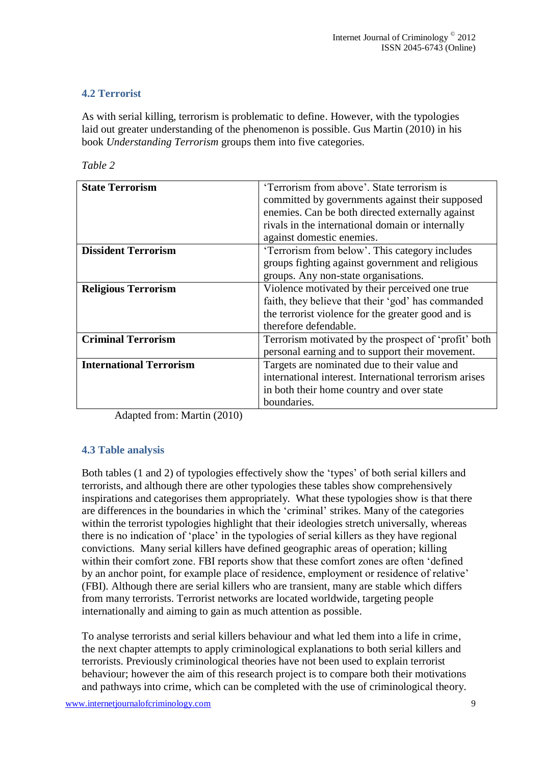## **4.2 Terrorist**

As with serial killing, terrorism is problematic to define. However, with the typologies laid out greater understanding of the phenomenon is possible. Gus Martin (2010) in his book *Understanding Terrorism* groups them into five categories.

| <b>State Terrorism</b>         | 'Terrorism from above'. State terrorism is             |  |  |
|--------------------------------|--------------------------------------------------------|--|--|
|                                | committed by governments against their supposed        |  |  |
|                                | enemies. Can be both directed externally against       |  |  |
|                                | rivals in the international domain or internally       |  |  |
|                                | against domestic enemies.                              |  |  |
| <b>Dissident Terrorism</b>     | 'Terrorism from below'. This category includes         |  |  |
|                                | groups fighting against government and religious       |  |  |
|                                | groups. Any non-state organisations.                   |  |  |
| <b>Religious Terrorism</b>     | Violence motivated by their perceived one true         |  |  |
|                                | faith, they believe that their 'god' has commanded     |  |  |
|                                | the terrorist violence for the greater good and is     |  |  |
|                                | therefore defendable.                                  |  |  |
| <b>Criminal Terrorism</b>      | Terrorism motivated by the prospect of 'profit' both   |  |  |
|                                | personal earning and to support their movement.        |  |  |
| <b>International Terrorism</b> | Targets are nominated due to their value and           |  |  |
|                                | international interest. International terrorism arises |  |  |
|                                | in both their home country and over state              |  |  |
|                                | boundaries.                                            |  |  |

Adapted from: Martin (2010)

## **4.3 Table analysis**

Both tables (1 and 2) of typologies effectively show the 'types' of both serial killers and terrorists, and although there are other typologies these tables show comprehensively inspirations and categorises them appropriately. What these typologies show is that there are differences in the boundaries in which the 'criminal' strikes. Many of the categories within the terrorist typologies highlight that their ideologies stretch universally, whereas there is no indication of 'place' in the typologies of serial killers as they have regional convictions. Many serial killers have defined geographic areas of operation; killing within their comfort zone. FBI reports show that these comfort zones are often 'defined by an anchor point, for example place of residence, employment or residence of relative' (FBI). Although there are serial killers who are transient, many are stable which differs from many terrorists. Terrorist networks are located worldwide, targeting people internationally and aiming to gain as much attention as possible.

To analyse terrorists and serial killers behaviour and what led them into a life in crime, the next chapter attempts to apply criminological explanations to both serial killers and terrorists. Previously criminological theories have not been used to explain terrorist behaviour; however the aim of this research project is to compare both their motivations and pathways into crime, which can be completed with the use of criminological theory.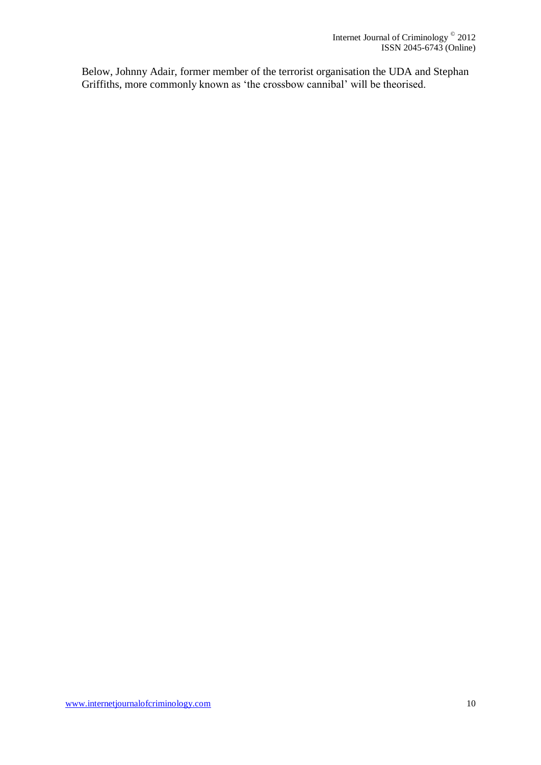Below, Johnny Adair, former member of the terrorist organisation the UDA and Stephan Griffiths, more commonly known as 'the crossbow cannibal' will be theorised.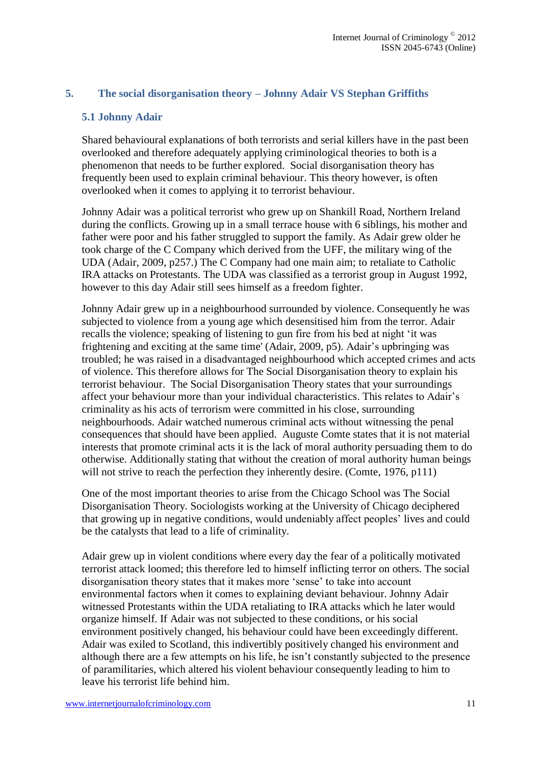## **5. The social disorganisation theory – Johnny Adair VS Stephan Griffiths**

#### **5.1 Johnny Adair**

Shared behavioural explanations of both terrorists and serial killers have in the past been overlooked and therefore adequately applying criminological theories to both is a phenomenon that needs to be further explored. Social disorganisation theory has frequently been used to explain criminal behaviour. This theory however, is often overlooked when it comes to applying it to terrorist behaviour.

Johnny Adair was a political terrorist who grew up on Shankill Road, Northern Ireland during the conflicts. Growing up in a small terrace house with 6 siblings, his mother and father were poor and his father struggled to support the family. As Adair grew older he took charge of the C Company which derived from the UFF, the military wing of the UDA (Adair, 2009, p257.) The C Company had one main aim; to retaliate to Catholic IRA attacks on Protestants. The UDA was classified as a terrorist group in August 1992, however to this day Adair still sees himself as a freedom fighter.

Johnny Adair grew up in a neighbourhood surrounded by violence. Consequently he was subjected to violence from a young age which desensitised him from the terror. Adair recalls the violence; speaking of listening to gun fire from his bed at night 'it was frightening and exciting at the same time' (Adair, 2009, p5). Adair's upbringing was troubled; he was raised in a disadvantaged neighbourhood which accepted crimes and acts of violence. This therefore allows for The Social Disorganisation theory to explain his terrorist behaviour. The Social Disorganisation Theory states that your surroundings affect your behaviour more than your individual characteristics. This relates to Adair's criminality as his acts of terrorism were committed in his close, surrounding neighbourhoods. Adair watched numerous criminal acts without witnessing the penal consequences that should have been applied. Auguste Comte states that it is not material interests that promote criminal acts it is the lack of moral authority persuading them to do otherwise. Additionally stating that without the creation of moral authority human beings will not strive to reach the perfection they inherently desire. (Comte, 1976, p111)

One of the most important theories to arise from the Chicago School was The Social Disorganisation Theory. Sociologists working at the University of Chicago deciphered that growing up in negative conditions, would undeniably affect peoples' lives and could be the catalysts that lead to a life of criminality.

Adair grew up in violent conditions where every day the fear of a politically motivated terrorist attack loomed; this therefore led to himself inflicting terror on others. The social disorganisation theory states that it makes more 'sense' to take into account environmental factors when it comes to explaining deviant behaviour. Johnny Adair witnessed Protestants within the UDA retaliating to IRA attacks which he later would organize himself. If Adair was not subjected to these conditions, or his social environment positively changed, his behaviour could have been exceedingly different. Adair was exiled to Scotland, this indivertibly positively changed his environment and although there are a few attempts on his life, he isn't constantly subjected to the presence of paramilitaries, which altered his violent behaviour consequently leading to him to leave his terrorist life behind him.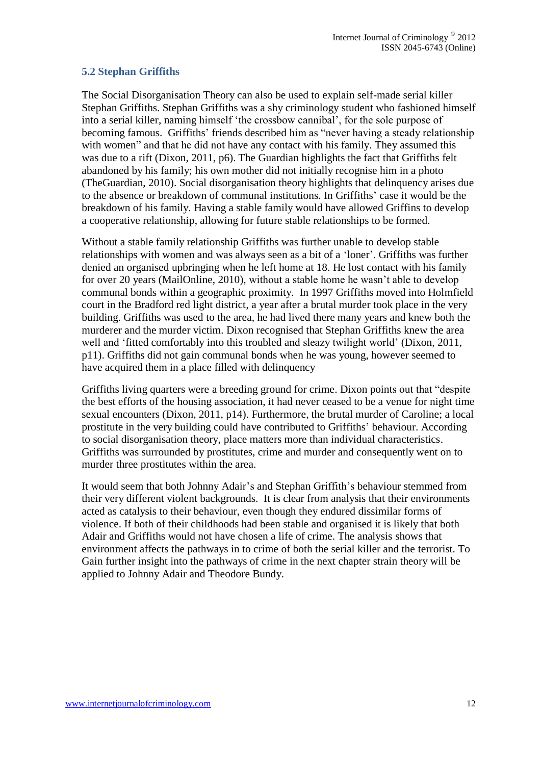## **5.2 Stephan Griffiths**

The Social Disorganisation Theory can also be used to explain self-made serial killer Stephan Griffiths. Stephan Griffiths was a shy criminology student who fashioned himself into a serial killer, naming himself 'the crossbow cannibal', for the sole purpose of becoming famous. Griffiths' friends described him as "never having a steady relationship with women" and that he did not have any contact with his family. They assumed this was due to a rift (Dixon, 2011, p6). The Guardian highlights the fact that Griffiths felt abandoned by his family; his own mother did not initially recognise him in a photo (TheGuardian, 2010). Social disorganisation theory highlights that delinquency arises due to the absence or breakdown of communal institutions. In Griffiths' case it would be the breakdown of his family. Having a stable family would have allowed Griffins to develop a cooperative relationship, allowing for future stable relationships to be formed.

Without a stable family relationship Griffiths was further unable to develop stable relationships with women and was always seen as a bit of a 'loner'. Griffiths was further denied an organised upbringing when he left home at 18. He lost contact with his family for over 20 years (MailOnline, 2010), without a stable home he wasn't able to develop communal bonds within a geographic proximity. In 1997 Griffiths moved into Holmfield court in the Bradford red light district, a year after a brutal murder took place in the very building. Griffiths was used to the area, he had lived there many years and knew both the murderer and the murder victim. Dixon recognised that Stephan Griffiths knew the area well and 'fitted comfortably into this troubled and sleazy twilight world' (Dixon, 2011, p11). Griffiths did not gain communal bonds when he was young, however seemed to have acquired them in a place filled with delinquency

Griffiths living quarters were a breeding ground for crime. Dixon points out that "despite the best efforts of the housing association, it had never ceased to be a venue for night time sexual encounters (Dixon, 2011, p14). Furthermore, the brutal murder of Caroline; a local prostitute in the very building could have contributed to Griffiths' behaviour. According to social disorganisation theory, place matters more than individual characteristics. Griffiths was surrounded by prostitutes, crime and murder and consequently went on to murder three prostitutes within the area.

It would seem that both Johnny Adair's and Stephan Griffith's behaviour stemmed from their very different violent backgrounds. It is clear from analysis that their environments acted as catalysis to their behaviour, even though they endured dissimilar forms of violence. If both of their childhoods had been stable and organised it is likely that both Adair and Griffiths would not have chosen a life of crime. The analysis shows that environment affects the pathways in to crime of both the serial killer and the terrorist. To Gain further insight into the pathways of crime in the next chapter strain theory will be applied to Johnny Adair and Theodore Bundy.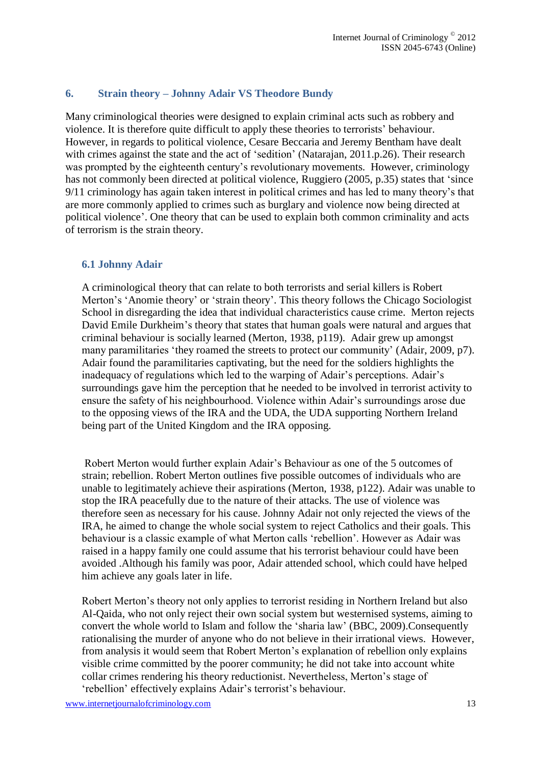## **6. Strain theory – Johnny Adair VS Theodore Bundy**

Many criminological theories were designed to explain criminal acts such as robbery and violence. It is therefore quite difficult to apply these theories to terrorists' behaviour. However, in regards to political violence, Cesare Beccaria and Jeremy Bentham have dealt with crimes against the state and the act of 'sedition' (Natarajan, 2011.p.26). Their research was prompted by the eighteenth century's revolutionary movements. However, criminology has not commonly been directed at political violence, Ruggiero (2005, p.35) states that 'since 9/11 criminology has again taken interest in political crimes and has led to many theory's that are more commonly applied to crimes such as burglary and violence now being directed at political violence'. One theory that can be used to explain both common criminality and acts of terrorism is the strain theory.

#### **6.1 Johnny Adair**

A criminological theory that can relate to both terrorists and serial killers is Robert Merton's 'Anomie theory' or 'strain theory'. This theory follows the Chicago Sociologist School in disregarding the idea that individual characteristics cause crime. Merton rejects David Emile Durkheim's theory that states that human goals were natural and argues that criminal behaviour is socially learned (Merton, 1938, p119). Adair grew up amongst many paramilitaries 'they roamed the streets to protect our community' (Adair, 2009, p7). Adair found the paramilitaries captivating, but the need for the soldiers highlights the inadequacy of regulations which led to the warping of Adair's perceptions. Adair's surroundings gave him the perception that he needed to be involved in terrorist activity to ensure the safety of his neighbourhood. Violence within Adair's surroundings arose due to the opposing views of the IRA and the UDA, the UDA supporting Northern Ireland being part of the United Kingdom and the IRA opposing.

Robert Merton would further explain Adair's Behaviour as one of the 5 outcomes of strain; rebellion. Robert Merton outlines five possible outcomes of individuals who are unable to legitimately achieve their aspirations (Merton, 1938, p122). Adair was unable to stop the IRA peacefully due to the nature of their attacks. The use of violence was therefore seen as necessary for his cause. Johnny Adair not only rejected the views of the IRA, he aimed to change the whole social system to reject Catholics and their goals. This behaviour is a classic example of what Merton calls 'rebellion'. However as Adair was raised in a happy family one could assume that his terrorist behaviour could have been avoided .Although his family was poor, Adair attended school, which could have helped him achieve any goals later in life.

Robert Merton's theory not only applies to terrorist residing in Northern Ireland but also Al-Qaida, who not only reject their own social system but westernised systems, aiming to convert the whole world to Islam and follow the 'sharia law' (BBC, 2009).Consequently rationalising the murder of anyone who do not believe in their irrational views. However, from analysis it would seem that Robert Merton's explanation of rebellion only explains visible crime committed by the poorer community; he did not take into account white collar crimes rendering his theory reductionist. Nevertheless, Merton's stage of 'rebellion' effectively explains Adair's terrorist's behaviour.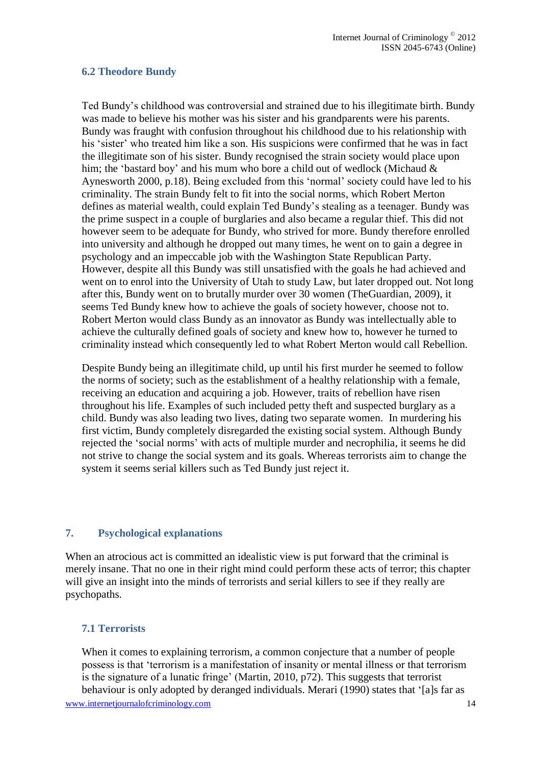#### **6.2 Theodore Bundy**

Ted Bundy's childhood was controversial and strained due to his illegitimate birth. Bundy was made to believe his mother was his sister and his grandparents were his parents. Bundy was fraught with confusion throughout his childhood due to his relationship with his 'sister' who treated him like a son. His suspicions were confirmed that he was in fact the illegitimate son of his sister. Bundy recognised the strain society would place upon him; the 'bastard boy' and his mum who bore a child out of wedlock (Michaud  $\&$ Aynesworth 2000, p.18). Being excluded from this 'normal' society could have led to his criminality. The strain Bundy felt to fit into the social norms, which Robert Merton defines as material wealth, could explain Ted Bundy's stealing as a teenager. Bundy was the prime suspect in a couple of burglaries and also became a regular thief. This did not however seem to be adequate for Bundy, who strived for more. Bundy therefore enrolled into university and although he dropped out many times, he went on to gain a degree in psychology and an impeccable job with the Washington State Republican Party. However, despite all this Bundy was still unsatisfied with the goals he had achieved and went on to enrol into the University of Utah to study Law, but later dropped out. Not long after this, Bundy went on to brutally murder over 30 women (TheGuardian, 2009), it seems Ted Bundy knew how to achieve the goals of society however, choose not to. Robert Merton would class Bundy as an innovator as Bundy was intellectually able to achieve the culturally defined goals of society and knew how to, however he turned to criminality instead which consequently led to what Robert Merton would call Rebellion.

Despite Bundy being an illegitimate child, up until his first murder he seemed to follow the norms of society; such as the establishment of a healthy relationship with a female, receiving an education and acquiring a job. However, traits of rebellion have risen throughout his life. Examples of such included petty theft and suspected burglary as a child. Bundy was also leading two lives, dating two separate women. In murdering his first victim, Bundy completely disregarded the existing social system. Although Bundy rejected the 'social norms' with acts of multiple murder and necrophilia, it seems he did not strive to change the social system and its goals. Whereas terrorists aim to change the system it seems serial killers such as Ted Bundy just reject it.

#### **7. Psychological explanations**

When an atrocious act is committed an idealistic view is put forward that the criminal is merely insane. That no one in their right mind could perform these acts of terror; this chapter will give an insight into the minds of terrorists and serial killers to see if they really are psychopaths.

#### **7.1 Terrorists**

When it comes to explaining terrorism, a common conjecture that a number of people possess is that 'terrorism is a manifestation of insanity or mental illness or that terrorism is the signature of a lunatic fringe' (Martin, 2010, p72). This suggests that terrorist behaviour is only adopted by deranged individuals. Merari (1990) states that '[a]s far as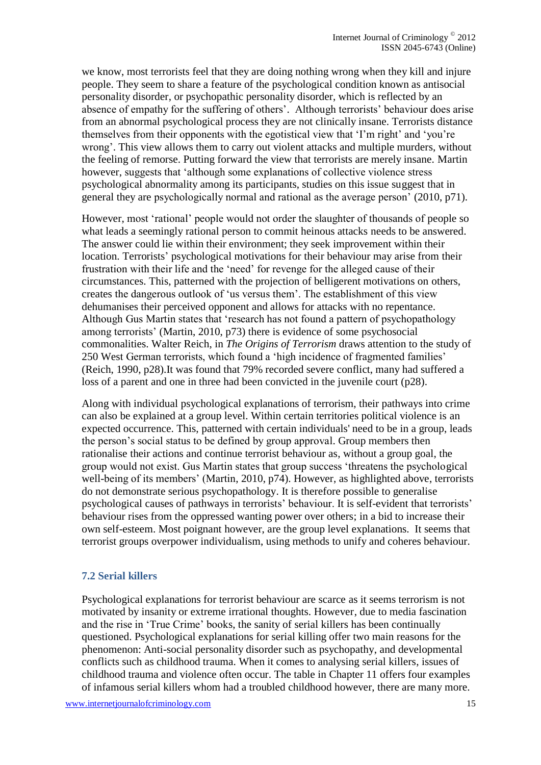we know, most terrorists feel that they are doing nothing wrong when they kill and injure people. They seem to share a feature of the psychological condition known as antisocial personality disorder, or psychopathic personality disorder, which is reflected by an absence of empathy for the suffering of others'. Although terrorists' behaviour does arise from an abnormal psychological process they are not clinically insane. Terrorists distance themselves from their opponents with the egotistical view that 'I'm right' and 'you're wrong'. This view allows them to carry out violent attacks and multiple murders, without the feeling of remorse. Putting forward the view that terrorists are merely insane. Martin however, suggests that 'although some explanations of collective violence stress psychological abnormality among its participants, studies on this issue suggest that in general they are psychologically normal and rational as the average person' (2010, p71).

However, most 'rational' people would not order the slaughter of thousands of people so what leads a seemingly rational person to commit heinous attacks needs to be answered. The answer could lie within their environment; they seek improvement within their location. Terrorists' psychological motivations for their behaviour may arise from their frustration with their life and the 'need' for revenge for the alleged cause of their circumstances. This, patterned with the projection of belligerent motivations on others, creates the dangerous outlook of 'us versus them'. The establishment of this view dehumanises their perceived opponent and allows for attacks with no repentance. Although Gus Martin states that 'research has not found a pattern of psychopathology among terrorists' (Martin, 2010, p73) there is evidence of some psychosocial commonalities. Walter Reich, in *The Origins of Terrorism* draws attention to the study of 250 West German terrorists, which found a 'high incidence of fragmented families' (Reich, 1990, p28).It was found that 79% recorded severe conflict, many had suffered a loss of a parent and one in three had been convicted in the juvenile court (p28).

Along with individual psychological explanations of terrorism, their pathways into crime can also be explained at a group level. Within certain territories political violence is an expected occurrence. This, patterned with certain individuals' need to be in a group, leads the person's social status to be defined by group approval. Group members then rationalise their actions and continue terrorist behaviour as, without a group goal, the group would not exist. Gus Martin states that group success 'threatens the psychological well-being of its members' (Martin, 2010, p74). However, as highlighted above, terrorists do not demonstrate serious psychopathology. It is therefore possible to generalise psychological causes of pathways in terrorists' behaviour. It is self-evident that terrorists' behaviour rises from the oppressed wanting power over others; in a bid to increase their own self-esteem. Most poignant however, are the group level explanations. It seems that terrorist groups overpower individualism, using methods to unify and coheres behaviour.

#### **7.2 Serial killers**

Psychological explanations for terrorist behaviour are scarce as it seems terrorism is not motivated by insanity or extreme irrational thoughts. However, due to media fascination and the rise in 'True Crime' books, the sanity of serial killers has been continually questioned. Psychological explanations for serial killing offer two main reasons for the phenomenon: Anti-social personality disorder such as psychopathy, and developmental conflicts such as childhood trauma. When it comes to analysing serial killers, issues of childhood trauma and violence often occur. The table in Chapter 11 offers four examples of infamous serial killers whom had a troubled childhood however, there are many more.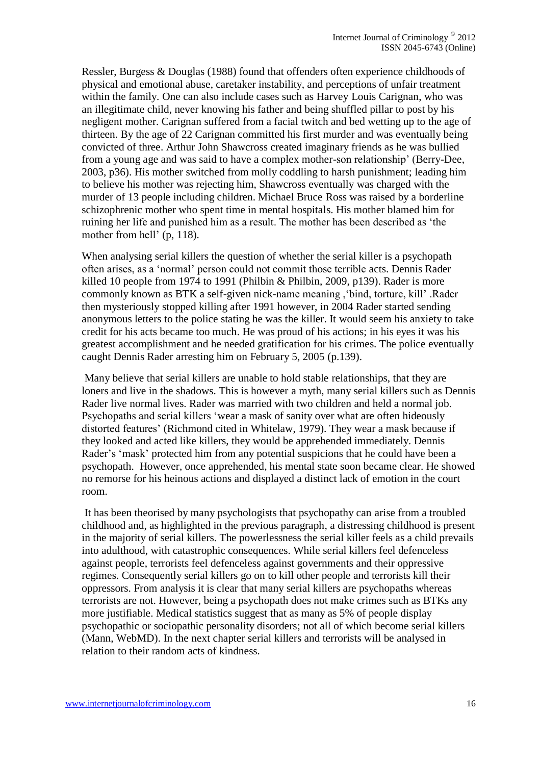Ressler, Burgess & Douglas (1988) found that offenders often experience childhoods of physical and emotional abuse, caretaker instability, and perceptions of unfair treatment within the family. One can also include cases such as Harvey Louis Carignan, who was an illegitimate child, never knowing his father and being shuffled pillar to post by his negligent mother. Carignan suffered from a facial twitch and bed wetting up to the age of thirteen. By the age of 22 Carignan committed his first murder and was eventually being convicted of three. Arthur John Shawcross created imaginary friends as he was bullied from a young age and was said to have a complex mother-son relationship' (Berry-Dee, 2003, p36). His mother switched from molly coddling to harsh punishment; leading him to believe his mother was rejecting him, Shawcross eventually was charged with the murder of 13 people including children. Michael Bruce Ross was raised by a borderline schizophrenic mother who spent time in mental hospitals. His mother blamed him for ruining her life and punished him as a result. The mother has been described as 'the mother from hell' (p, 118).

When analysing serial killers the question of whether the serial killer is a psychopath often arises, as a 'normal' person could not commit those terrible acts. Dennis Rader killed 10 people from 1974 to 1991 (Philbin & Philbin, 2009, p139). Rader is more commonly known as BTK a self-given nick-name meaning ,'bind, torture, kill' .Rader then mysteriously stopped killing after 1991 however, in 2004 Rader started sending anonymous letters to the police stating he was the killer. It would seem his anxiety to take credit for his acts became too much. He was proud of his actions; in his eyes it was his greatest accomplishment and he needed gratification for his crimes. The police eventually caught Dennis Rader arresting him on February 5, 2005 (p.139).

Many believe that serial killers are unable to hold stable relationships, that they are loners and live in the shadows. This is however a myth, many serial killers such as Dennis Rader live normal lives. Rader was married with two children and held a normal job. Psychopaths and serial killers 'wear a mask of sanity over what are often hideously distorted features' (Richmond cited in Whitelaw, 1979). They wear a mask because if they looked and acted like killers, they would be apprehended immediately. Dennis Rader's 'mask' protected him from any potential suspicions that he could have been a psychopath. However, once apprehended, his mental state soon became clear. He showed no remorse for his heinous actions and displayed a distinct lack of emotion in the court room.

It has been theorised by many psychologists that psychopathy can arise from a troubled childhood and, as highlighted in the previous paragraph, a distressing childhood is present in the majority of serial killers. The powerlessness the serial killer feels as a child prevails into adulthood, with catastrophic consequences. While serial killers feel defenceless against people, terrorists feel defenceless against governments and their oppressive regimes. Consequently serial killers go on to kill other people and terrorists kill their oppressors. From analysis it is clear that many serial killers are psychopaths whereas terrorists are not. However, being a psychopath does not make crimes such as BTKs any more justifiable. Medical statistics suggest that as many as 5% of people display psychopathic or sociopathic personality disorders; not all of which become serial killers (Mann, WebMD). In the next chapter serial killers and terrorists will be analysed in relation to their random acts of kindness.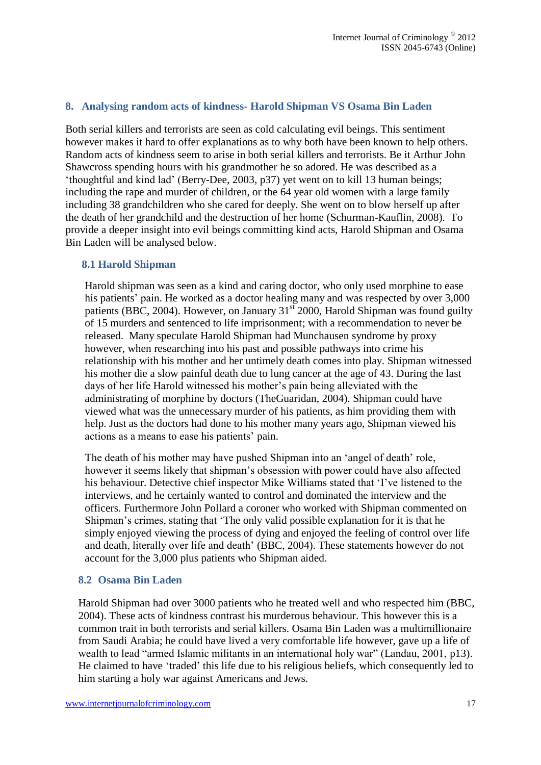#### **8. Analysing random acts of kindness- Harold Shipman VS Osama Bin Laden**

Both serial killers and terrorists are seen as cold calculating evil beings. This sentiment however makes it hard to offer explanations as to why both have been known to help others. Random acts of kindness seem to arise in both serial killers and terrorists. Be it Arthur John Shawcross spending hours with his grandmother he so adored. He was described as a 'thoughtful and kind lad' (Berry-Dee, 2003, p37) yet went on to kill 13 human beings; including the rape and murder of children, or the 64 year old women with a large family including 38 grandchildren who she cared for deeply. She went on to blow herself up after the death of her grandchild and the destruction of her home (Schurman-Kauflin, 2008). To provide a deeper insight into evil beings committing kind acts, Harold Shipman and Osama Bin Laden will be analysed below.

#### **8.1 Harold Shipman**

Harold shipman was seen as a kind and caring doctor, who only used morphine to ease his patients' pain. He worked as a doctor healing many and was respected by over 3,000 patients (BBC, 2004). However, on January  $31<sup>st</sup>$  2000, Harold Shipman was found guilty of 15 murders and sentenced to life imprisonment; with a recommendation to never be released. Many speculate Harold Shipman had Munchausen syndrome by proxy however, when researching into his past and possible pathways into crime his relationship with his mother and her untimely death comes into play. Shipman witnessed his mother die a slow painful death due to lung cancer at the age of 43. During the last days of her life Harold witnessed his mother's pain being alleviated with the administrating of morphine by doctors (TheGuaridan, 2004). Shipman could have viewed what was the unnecessary murder of his patients, as him providing them with help. Just as the doctors had done to his mother many years ago, Shipman viewed his actions as a means to ease his patients' pain.

The death of his mother may have pushed Shipman into an 'angel of death' role, however it seems likely that shipman's obsession with power could have also affected his behaviour. Detective chief inspector Mike Williams stated that 'I've listened to the interviews, and he certainly wanted to control and dominated the interview and the officers. Furthermore John Pollard a coroner who worked with Shipman commented on Shipman's crimes, stating that 'The only valid possible explanation for it is that he simply enjoyed viewing the process of dying and enjoyed the feeling of control over life and death, literally over life and death' (BBC, 2004). These statements however do not account for the 3,000 plus patients who Shipman aided.

#### **8.2 Osama Bin Laden**

Harold Shipman had over 3000 patients who he treated well and who respected him (BBC, 2004). These acts of kindness contrast his murderous behaviour. This however this is a common trait in both terrorists and serial killers. Osama Bin Laden was a multimillionaire from Saudi Arabia; he could have lived a very comfortable life however, gave up a life of wealth to lead "armed Islamic militants in an international holy war" (Landau, 2001, p13). He claimed to have 'traded' this life due to his religious beliefs, which consequently led to him starting a holy war against Americans and Jews.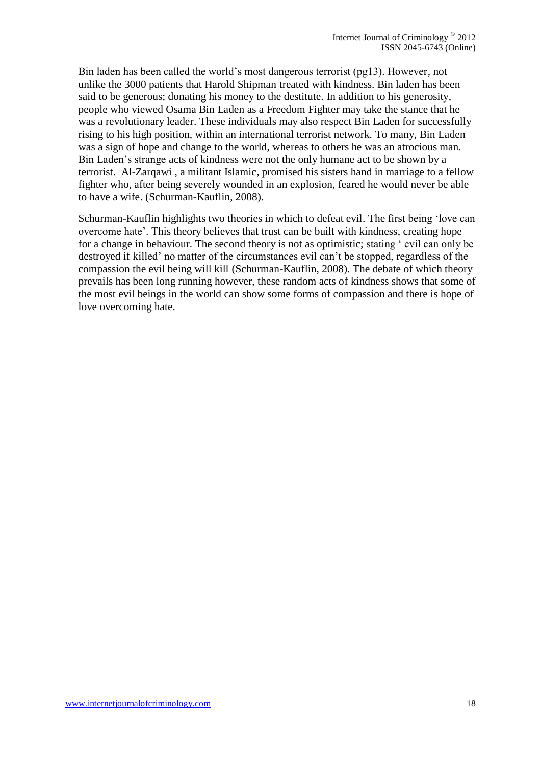Bin laden has been called the world's most dangerous terrorist (pg13). However, not unlike the 3000 patients that Harold Shipman treated with kindness. Bin laden has been said to be generous; donating his money to the destitute. In addition to his generosity, people who viewed Osama Bin Laden as a Freedom Fighter may take the stance that he was a revolutionary leader. These individuals may also respect Bin Laden for successfully rising to his high position, within an international terrorist network. To many, Bin Laden was a sign of hope and change to the world, whereas to others he was an atrocious man. Bin Laden's strange acts of kindness were not the only humane act to be shown by a terrorist. Al-Zarqawi , a militant Islamic, promised his sisters hand in marriage to a fellow fighter who, after being severely wounded in an explosion, feared he would never be able to have a wife. (Schurman-Kauflin, 2008).

Schurman-Kauflin highlights two theories in which to defeat evil. The first being 'love can overcome hate'. This theory believes that trust can be built with kindness, creating hope for a change in behaviour. The second theory is not as optimistic; stating ' evil can only be destroyed if killed' no matter of the circumstances evil can't be stopped, regardless of the compassion the evil being will kill (Schurman-Kauflin, 2008). The debate of which theory prevails has been long running however, these random acts of kindness shows that some of the most evil beings in the world can show some forms of compassion and there is hope of love overcoming hate.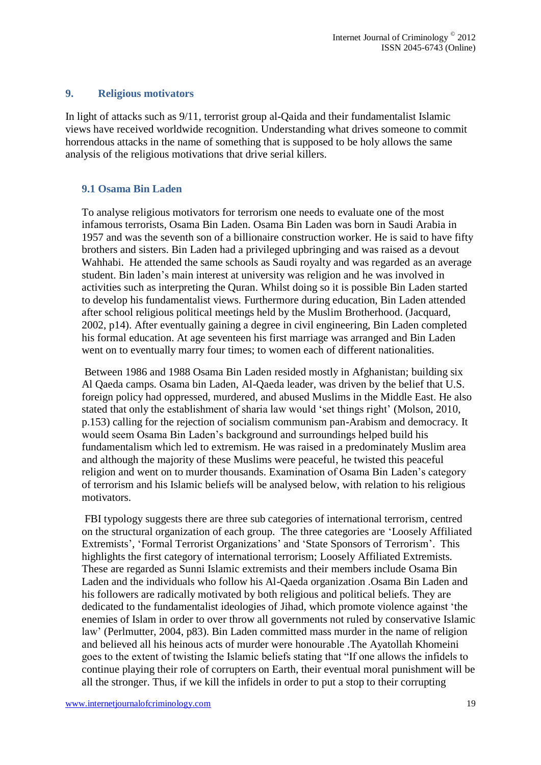#### **9. Religious motivators**

In light of attacks such as 9/11, terrorist group al-Qaida and their fundamentalist Islamic views have received worldwide recognition. Understanding what drives someone to commit horrendous attacks in the name of something that is supposed to be holy allows the same analysis of the religious motivations that drive serial killers.

#### **9.1 Osama Bin Laden**

To analyse religious motivators for terrorism one needs to evaluate one of the most infamous terrorists, Osama Bin Laden. Osama Bin Laden was born in Saudi Arabia in 1957 and was the seventh son of a billionaire construction worker. He is said to have fifty brothers and sisters. Bin Laden had a privileged upbringing and was raised as a devout Wahhabi. He attended the same schools as Saudi royalty and was regarded as an average student. Bin laden's main interest at university was religion and he was involved in activities such as interpreting the Quran. Whilst doing so it is possible Bin Laden started to develop his fundamentalist views. Furthermore during education, Bin Laden attended after school religious political meetings held by the Muslim Brotherhood. (Jacquard, 2002, p14). After eventually gaining a degree in civil engineering, Bin Laden completed his formal education. At age seventeen his first marriage was arranged and Bin Laden went on to eventually marry four times; to women each of different nationalities.

Between 1986 and 1988 Osama Bin Laden resided mostly in Afghanistan; building six Al Qaeda camps. Osama bin Laden, Al-Qaeda leader, was driven by the belief that U.S. foreign policy had oppressed, murdered, and abused Muslims in the Middle East. He also stated that only the establishment of sharia law would 'set things right' (Molson, 2010, p.153) calling for the rejection of socialism communism pan-Arabism and democracy. It would seem Osama Bin Laden's background and surroundings helped build his fundamentalism which led to extremism. He was raised in a predominately Muslim area and although the majority of these Muslims were peaceful, he twisted this peaceful religion and went on to murder thousands. Examination of Osama Bin Laden's category of terrorism and his Islamic beliefs will be analysed below, with relation to his religious motivators.

FBI typology suggests there are three sub categories of international terrorism, centred on the structural organization of each group. The three categories are 'Loosely Affiliated Extremists', 'Formal Terrorist Organizations' and 'State Sponsors of Terrorism'. This highlights the first category of international terrorism; Loosely Affiliated Extremists. These are regarded as Sunni Islamic extremists and their members include Osama Bin Laden and the individuals who follow his Al-Qaeda organization .Osama Bin Laden and his followers are radically motivated by both religious and political beliefs. They are dedicated to the fundamentalist ideologies of Jihad, which promote violence against 'the enemies of Islam in order to over throw all governments not ruled by conservative Islamic law' (Perlmutter, 2004, p83). Bin Laden committed mass murder in the name of religion and believed all his heinous acts of murder were honourable .The Ayatollah Khomeini goes to the extent of twisting the Islamic beliefs stating that "If one allows the infidels to continue playing their role of corrupters on Earth, their eventual moral punishment will be all the stronger. Thus, if we kill the infidels in order to put a stop to their corrupting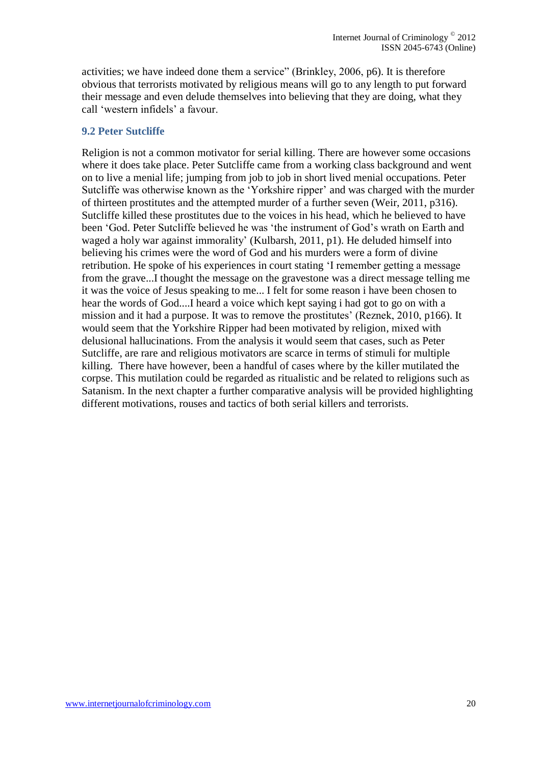activities; we have indeed done them a service" (Brinkley, 2006, p6). It is therefore obvious that terrorists motivated by religious means will go to any length to put forward their message and even delude themselves into believing that they are doing, what they call 'western infidels' a favour.

#### **9.2 Peter Sutcliffe**

Religion is not a common motivator for serial killing. There are however some occasions where it does take place. Peter Sutcliffe came from a working class background and went on to live a menial life; jumping from job to job in short lived menial occupations. Peter Sutcliffe was otherwise known as the 'Yorkshire ripper' and was charged with the murder of thirteen prostitutes and the attempted murder of a further seven (Weir, 2011, p316). Sutcliffe killed these prostitutes due to the voices in his head, which he believed to have been 'God. Peter Sutcliffe believed he was 'the instrument of God's wrath on Earth and waged a holy war against immorality' (Kulbarsh, 2011, p1). He deluded himself into believing his crimes were the word of God and his murders were a form of divine retribution. He spoke of his experiences in court stating 'I remember getting a message from the grave...I thought the message on the gravestone was a direct message telling me it was the voice of Jesus speaking to me... I felt for some reason i have been chosen to hear the words of God....I heard a voice which kept saying i had got to go on with a mission and it had a purpose. It was to remove the prostitutes' (Reznek, 2010, p166). It would seem that the Yorkshire Ripper had been motivated by religion, mixed with delusional hallucinations. From the analysis it would seem that cases, such as Peter Sutcliffe, are rare and religious motivators are scarce in terms of stimuli for multiple killing. There have however, been a handful of cases where by the killer mutilated the corpse. This mutilation could be regarded as ritualistic and be related to religions such as Satanism. In the next chapter a further comparative analysis will be provided highlighting different motivations, rouses and tactics of both serial killers and terrorists.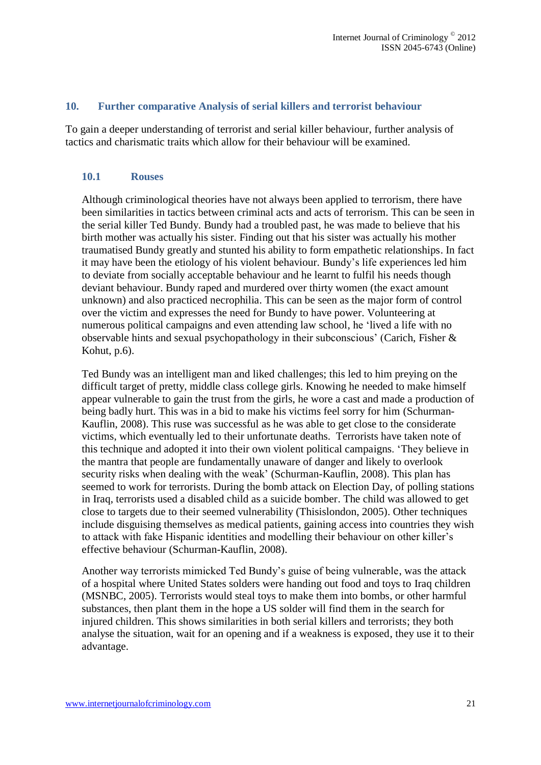#### **10. Further comparative Analysis of serial killers and terrorist behaviour**

To gain a deeper understanding of terrorist and serial killer behaviour, further analysis of tactics and charismatic traits which allow for their behaviour will be examined.

#### **10.1 Rouses**

Although criminological theories have not always been applied to terrorism, there have been similarities in tactics between criminal acts and acts of terrorism. This can be seen in the serial killer Ted Bundy. Bundy had a troubled past, he was made to believe that his birth mother was actually his sister. Finding out that his sister was actually his mother traumatised Bundy greatly and stunted his ability to form empathetic relationships. In fact it may have been the etiology of his violent behaviour. Bundy's life experiences led him to deviate from socially acceptable behaviour and he learnt to fulfil his needs though deviant behaviour. Bundy raped and murdered over thirty women (the exact amount unknown) and also practiced necrophilia. This can be seen as the major form of control over the victim and expresses the need for Bundy to have power. Volunteering at numerous political campaigns and even attending law school, he 'lived a life with no observable hints and sexual psychopathology in their subconscious' (Carich, Fisher & Kohut, p.6).

Ted Bundy was an intelligent man and liked challenges; this led to him preying on the difficult target of pretty, middle class college girls. Knowing he needed to make himself appear vulnerable to gain the trust from the girls, he wore a cast and made a production of being badly hurt. This was in a bid to make his victims feel sorry for him (Schurman-Kauflin, 2008). This ruse was successful as he was able to get close to the considerate victims, which eventually led to their unfortunate deaths. Terrorists have taken note of this technique and adopted it into their own violent political campaigns. 'They believe in the mantra that people are fundamentally unaware of danger and likely to overlook security risks when dealing with the weak' (Schurman-Kauflin, 2008). This plan has seemed to work for terrorists. During the bomb attack on Election Day, of polling stations in Iraq, terrorists used a disabled child as a suicide bomber. The child was allowed to get close to targets due to their seemed vulnerability (Thisislondon, 2005). Other techniques include disguising themselves as medical patients, gaining access into countries they wish to attack with fake Hispanic identities and modelling their behaviour on other killer's effective behaviour (Schurman-Kauflin, 2008).

Another way terrorists mimicked Ted Bundy's guise of being vulnerable, was the attack of a hospital where United States solders were handing out food and toys to Iraq children (MSNBC, 2005). Terrorists would steal toys to make them into bombs, or other harmful substances, then plant them in the hope a US solder will find them in the search for injured children. This shows similarities in both serial killers and terrorists; they both analyse the situation, wait for an opening and if a weakness is exposed, they use it to their advantage.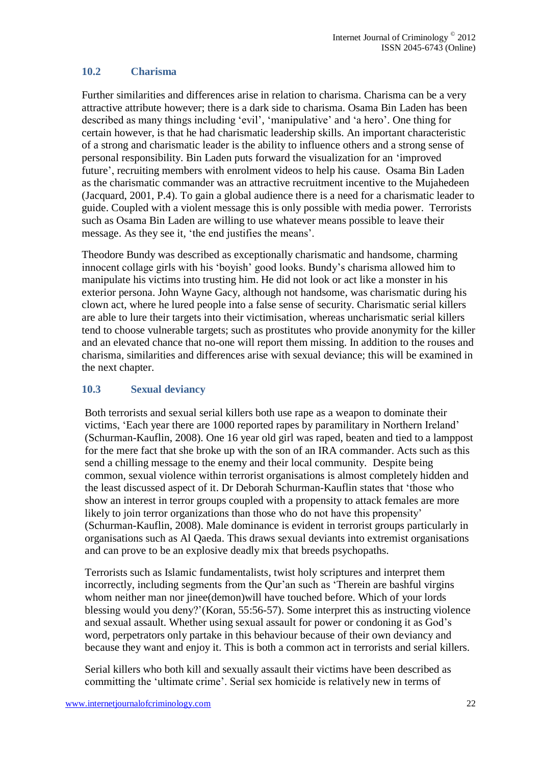## **10.2 Charisma**

Further similarities and differences arise in relation to charisma. Charisma can be a very attractive attribute however; there is a dark side to charisma. Osama Bin Laden has been described as many things including 'evil', 'manipulative' and 'a hero'. One thing for certain however, is that he had charismatic leadership skills. An important characteristic of a strong and charismatic leader is the ability to influence others and a strong sense of personal responsibility. Bin Laden puts forward the visualization for an 'improved future', recruiting members with enrolment videos to help his cause. Osama Bin Laden as the charismatic commander was an attractive recruitment incentive to the Mujahedeen (Jacquard, 2001, P.4). To gain a global audience there is a need for a charismatic leader to guide. Coupled with a violent message this is only possible with media power. Terrorists such as Osama Bin Laden are willing to use whatever means possible to leave their message. As they see it, 'the end justifies the means'.

Theodore Bundy was described as exceptionally charismatic and handsome, charming innocent collage girls with his 'boyish' good looks. Bundy's charisma allowed him to manipulate his victims into trusting him. He did not look or act like a monster in his exterior persona. John Wayne Gacy, although not handsome, was charismatic during his clown act, where he lured people into a false sense of security. Charismatic serial killers are able to lure their targets into their victimisation, whereas uncharismatic serial killers tend to choose vulnerable targets; such as prostitutes who provide anonymity for the killer and an elevated chance that no-one will report them missing. In addition to the rouses and charisma, similarities and differences arise with sexual deviance; this will be examined in the next chapter.

## **10.3 Sexual deviancy**

Both terrorists and sexual serial killers both use rape as a weapon to dominate their victims, 'Each year there are 1000 reported rapes by paramilitary in Northern Ireland' (Schurman-Kauflin, 2008). One 16 year old girl was raped, beaten and tied to a lamppost for the mere fact that she broke up with the son of an IRA commander. Acts such as this send a chilling message to the enemy and their local community. Despite being common, sexual violence within terrorist organisations is almost completely hidden and the least discussed aspect of it. Dr Deborah Schurman-Kauflin states that 'those who show an interest in terror groups coupled with a propensity to attack females are more likely to join terror organizations than those who do not have this propensity' (Schurman-Kauflin, 2008). Male dominance is evident in terrorist groups particularly in organisations such as Al Qaeda. This draws sexual deviants into extremist organisations and can prove to be an explosive deadly mix that breeds psychopaths.

Terrorists such as Islamic fundamentalists, twist holy scriptures and interpret them incorrectly, including segments from the Qur'an such as 'Therein are bashful virgins whom neither man nor jinee(demon)will have touched before. Which of your lords blessing would you deny?'(Koran, 55:56-57). Some interpret this as instructing violence and sexual assault. Whether using sexual assault for power or condoning it as God's word, perpetrators only partake in this behaviour because of their own deviancy and because they want and enjoy it. This is both a common act in terrorists and serial killers.

Serial killers who both kill and sexually assault their victims have been described as committing the 'ultimate crime'. Serial sex homicide is relatively new in terms of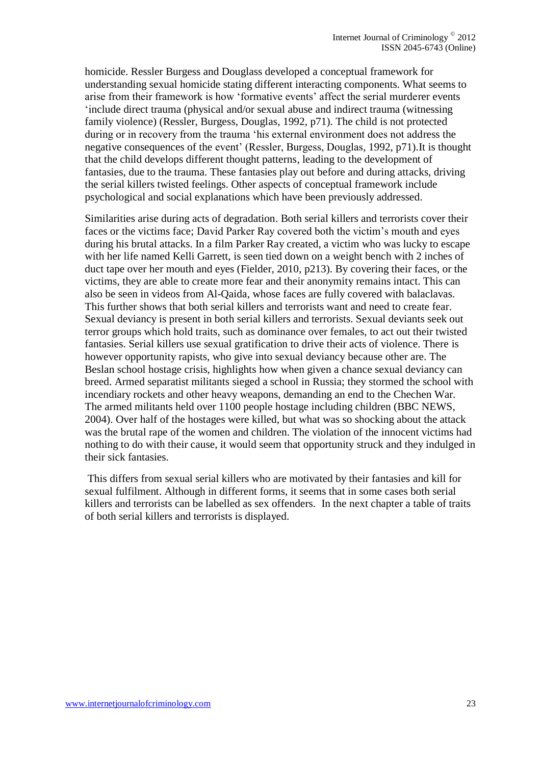homicide. Ressler Burgess and Douglass developed a conceptual framework for understanding sexual homicide stating different interacting components. What seems to arise from their framework is how 'formative events' affect the serial murderer events 'include direct trauma (physical and/or sexual abuse and indirect trauma (witnessing family violence) (Ressler, Burgess, Douglas, 1992, p71). The child is not protected during or in recovery from the trauma 'his external environment does not address the negative consequences of the event' (Ressler, Burgess, Douglas, 1992, p71).It is thought that the child develops different thought patterns, leading to the development of fantasies, due to the trauma. These fantasies play out before and during attacks, driving the serial killers twisted feelings. Other aspects of conceptual framework include psychological and social explanations which have been previously addressed.

Similarities arise during acts of degradation. Both serial killers and terrorists cover their faces or the victims face; David Parker Ray covered both the victim's mouth and eyes during his brutal attacks. In a film Parker Ray created, a victim who was lucky to escape with her life named Kelli Garrett, is seen tied down on a weight bench with 2 inches of duct tape over her mouth and eyes (Fielder, 2010, p213). By covering their faces, or the victims, they are able to create more fear and their anonymity remains intact. This can also be seen in videos from Al-Qaida, whose faces are fully covered with balaclavas. This further shows that both serial killers and terrorists want and need to create fear. Sexual deviancy is present in both serial killers and terrorists. Sexual deviants seek out terror groups which hold traits, such as dominance over females, to act out their twisted fantasies. Serial killers use sexual gratification to drive their acts of violence. There is however opportunity rapists, who give into sexual deviancy because other are. The Beslan school hostage crisis, highlights how when given a chance sexual deviancy can breed. Armed separatist militants sieged a school in Russia; they stormed the school with incendiary rockets and other heavy weapons, demanding an end to the Chechen War. The armed militants held over 1100 people hostage including children (BBC NEWS, 2004). Over half of the hostages were killed, but what was so shocking about the attack was the brutal rape of the women and children. The violation of the innocent victims had nothing to do with their cause, it would seem that opportunity struck and they indulged in their sick fantasies.

This differs from sexual serial killers who are motivated by their fantasies and kill for sexual fulfilment. Although in different forms, it seems that in some cases both serial killers and terrorists can be labelled as sex offenders. In the next chapter a table of traits of both serial killers and terrorists is displayed.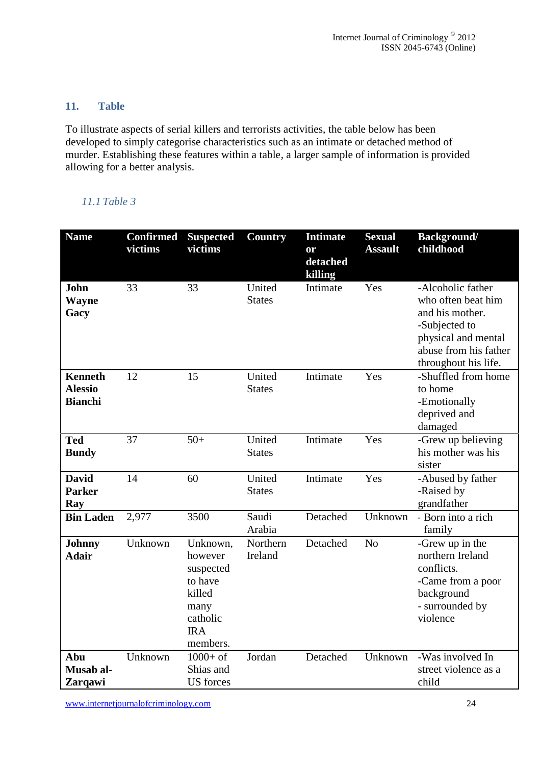## **11. Table**

To illustrate aspects of serial killers and terrorists activities, the table below has been developed to simply categorise characteristics such as an intimate or detached method of murder. Establishing these features within a table, a larger sample of information is provided allowing for a better analysis.

## *11.1 Table 3*

| <b>Name</b>                                        | <b>Confirmed</b><br>victims | <b>Suspected</b><br>victims                                                                         | <b>Country</b>          | <b>Intimate</b><br>or<br>detached<br>killing | <b>Sexual</b><br><b>Assault</b> | <b>Background/</b><br>childhood                                                                                                                     |
|----------------------------------------------------|-----------------------------|-----------------------------------------------------------------------------------------------------|-------------------------|----------------------------------------------|---------------------------------|-----------------------------------------------------------------------------------------------------------------------------------------------------|
| John<br><b>Wayne</b><br>Gacy                       | 33                          | 33                                                                                                  | United<br><b>States</b> | Intimate                                     | Yes                             | -Alcoholic father<br>who often beat him<br>and his mother.<br>-Subjected to<br>physical and mental<br>abuse from his father<br>throughout his life. |
| <b>Kenneth</b><br><b>Alessio</b><br><b>Bianchi</b> | 12                          | 15                                                                                                  | United<br><b>States</b> | Intimate                                     | Yes                             | -Shuffled from home<br>to home<br>-Emotionally<br>deprived and<br>damaged                                                                           |
| <b>Ted</b><br><b>Bundy</b>                         | 37                          | $50+$                                                                                               | United<br><b>States</b> | Intimate                                     | Yes                             | -Grew up believing<br>his mother was his<br>sister                                                                                                  |
| <b>David</b><br><b>Parker</b><br>Ray               | 14                          | 60                                                                                                  | United<br><b>States</b> | Intimate                                     | Yes                             | -Abused by father<br>-Raised by<br>grandfather                                                                                                      |
| <b>Bin Laden</b>                                   | 2,977                       | 3500                                                                                                | Saudi<br>Arabia         | Detached                                     | Unknown                         | - Born into a rich<br>family                                                                                                                        |
| <b>Johnny</b><br><b>Adair</b>                      | Unknown                     | Unknown,<br>however<br>suspected<br>to have<br>killed<br>many<br>catholic<br><b>IRA</b><br>members. | Northern<br>Ireland     | Detached                                     | N <sub>o</sub>                  | -Grew up in the<br>northern Ireland<br>conflicts.<br>-Came from a poor<br>background<br>- surrounded by<br>violence                                 |
| Abu<br>Musab al-<br>Zarqawi                        | Unknown                     | $1000 + of$<br>Shias and<br><b>US</b> forces                                                        | Jordan                  | Detached                                     | Unknown                         | -Was involved In<br>street violence as a<br>child                                                                                                   |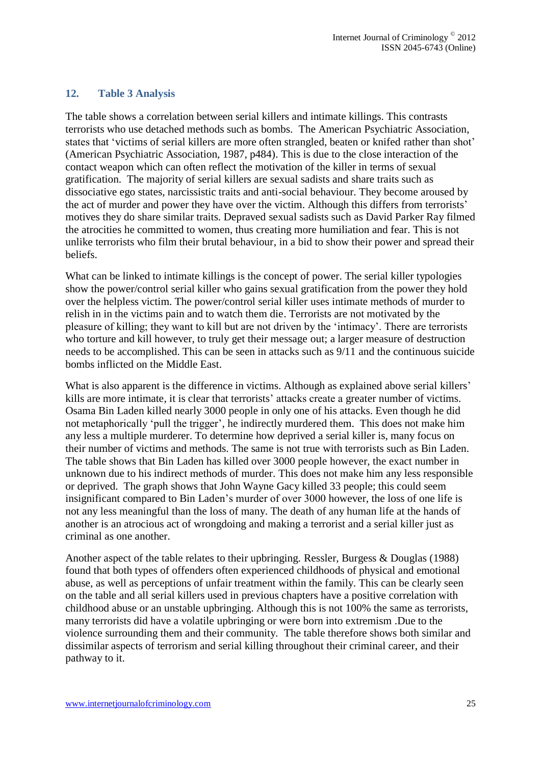## **12. Table 3 Analysis**

The table shows a correlation between serial killers and intimate killings. This contrasts terrorists who use detached methods such as bombs. The American Psychiatric Association, states that 'victims of serial killers are more often strangled, beaten or knifed rather than shot' (American Psychiatric Association, 1987, p484). This is due to the close interaction of the contact weapon which can often reflect the motivation of the killer in terms of sexual gratification. The majority of serial killers are sexual sadists and share traits such as dissociative ego states, narcissistic traits and anti-social behaviour. They become aroused by the act of murder and power they have over the victim. Although this differs from terrorists' motives they do share similar traits. Depraved sexual sadists such as David Parker Ray filmed the atrocities he committed to women, thus creating more humiliation and fear. This is not unlike terrorists who film their brutal behaviour, in a bid to show their power and spread their beliefs.

What can be linked to intimate killings is the concept of power. The serial killer typologies show the power/control serial killer who gains sexual gratification from the power they hold over the helpless victim. The power/control serial killer uses intimate methods of murder to relish in in the victims pain and to watch them die. Terrorists are not motivated by the pleasure of killing; they want to kill but are not driven by the 'intimacy'. There are terrorists who torture and kill however, to truly get their message out; a larger measure of destruction needs to be accomplished. This can be seen in attacks such as 9/11 and the continuous suicide bombs inflicted on the Middle East.

What is also apparent is the difference in victims. Although as explained above serial killers' kills are more intimate, it is clear that terrorists' attacks create a greater number of victims. Osama Bin Laden killed nearly 3000 people in only one of his attacks. Even though he did not metaphorically 'pull the trigger', he indirectly murdered them. This does not make him any less a multiple murderer. To determine how deprived a serial killer is, many focus on their number of victims and methods. The same is not true with terrorists such as Bin Laden. The table shows that Bin Laden has killed over 3000 people however, the exact number in unknown due to his indirect methods of murder. This does not make him any less responsible or deprived. The graph shows that John Wayne Gacy killed 33 people; this could seem insignificant compared to Bin Laden's murder of over 3000 however, the loss of one life is not any less meaningful than the loss of many. The death of any human life at the hands of another is an atrocious act of wrongdoing and making a terrorist and a serial killer just as criminal as one another.

Another aspect of the table relates to their upbringing. Ressler, Burgess & Douglas (1988) found that both types of offenders often experienced childhoods of physical and emotional abuse, as well as perceptions of unfair treatment within the family. This can be clearly seen on the table and all serial killers used in previous chapters have a positive correlation with childhood abuse or an unstable upbringing. Although this is not 100% the same as terrorists, many terrorists did have a volatile upbringing or were born into extremism .Due to the violence surrounding them and their community. The table therefore shows both similar and dissimilar aspects of terrorism and serial killing throughout their criminal career, and their pathway to it.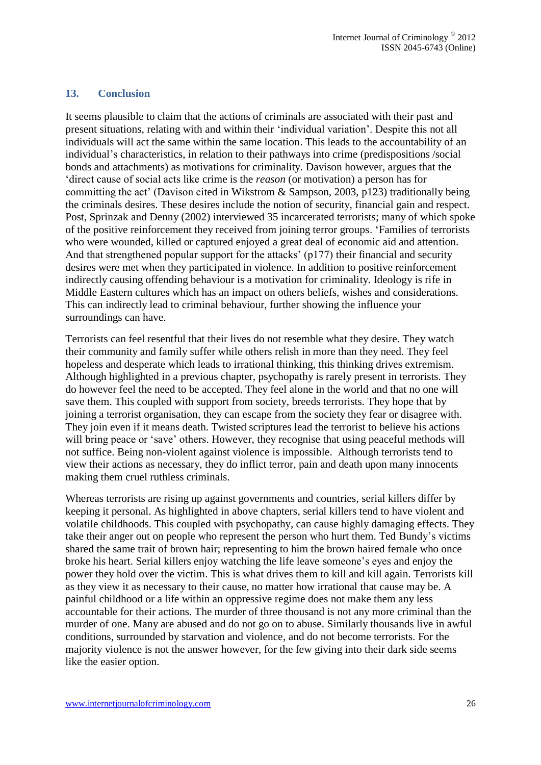## **13. Conclusion**

It seems plausible to claim that the actions of criminals are associated with their past and present situations, relating with and within their 'individual variation'. Despite this not all individuals will act the same within the same location. This leads to the accountability of an individual's characteristics, in relation to their pathways into crime (predispositions /social bonds and attachments) as motivations for criminality. Davison however, argues that the 'direct cause of social acts like crime is the *reason* (or motivation) a person has for committing the act' (Davison cited in Wikstrom & Sampson, 2003, p123) traditionally being the criminals desires. These desires include the notion of security, financial gain and respect. Post, Sprinzak and Denny (2002) interviewed 35 incarcerated terrorists; many of which spoke of the positive reinforcement they received from joining terror groups. 'Families of terrorists who were wounded, killed or captured enjoyed a great deal of economic aid and attention. And that strengthened popular support for the attacks' (p177) their financial and security desires were met when they participated in violence. In addition to positive reinforcement indirectly causing offending behaviour is a motivation for criminality. Ideology is rife in Middle Eastern cultures which has an impact on others beliefs, wishes and considerations. This can indirectly lead to criminal behaviour, further showing the influence your surroundings can have.

Terrorists can feel resentful that their lives do not resemble what they desire. They watch their community and family suffer while others relish in more than they need. They feel hopeless and desperate which leads to irrational thinking, this thinking drives extremism. Although highlighted in a previous chapter, psychopathy is rarely present in terrorists. They do however feel the need to be accepted. They feel alone in the world and that no one will save them. This coupled with support from society, breeds terrorists. They hope that by joining a terrorist organisation, they can escape from the society they fear or disagree with. They join even if it means death. Twisted scriptures lead the terrorist to believe his actions will bring peace or 'save' others. However, they recognise that using peaceful methods will not suffice. Being non-violent against violence is impossible. Although terrorists tend to view their actions as necessary, they do inflict terror, pain and death upon many innocents making them cruel ruthless criminals.

Whereas terrorists are rising up against governments and countries, serial killers differ by keeping it personal. As highlighted in above chapters, serial killers tend to have violent and volatile childhoods. This coupled with psychopathy, can cause highly damaging effects. They take their anger out on people who represent the person who hurt them. Ted Bundy's victims shared the same trait of brown hair; representing to him the brown haired female who once broke his heart. Serial killers enjoy watching the life leave someone's eyes and enjoy the power they hold over the victim. This is what drives them to kill and kill again. Terrorists kill as they view it as necessary to their cause, no matter how irrational that cause may be. A painful childhood or a life within an oppressive regime does not make them any less accountable for their actions. The murder of three thousand is not any more criminal than the murder of one. Many are abused and do not go on to abuse. Similarly thousands live in awful conditions, surrounded by starvation and violence, and do not become terrorists. For the majority violence is not the answer however, for the few giving into their dark side seems like the easier option.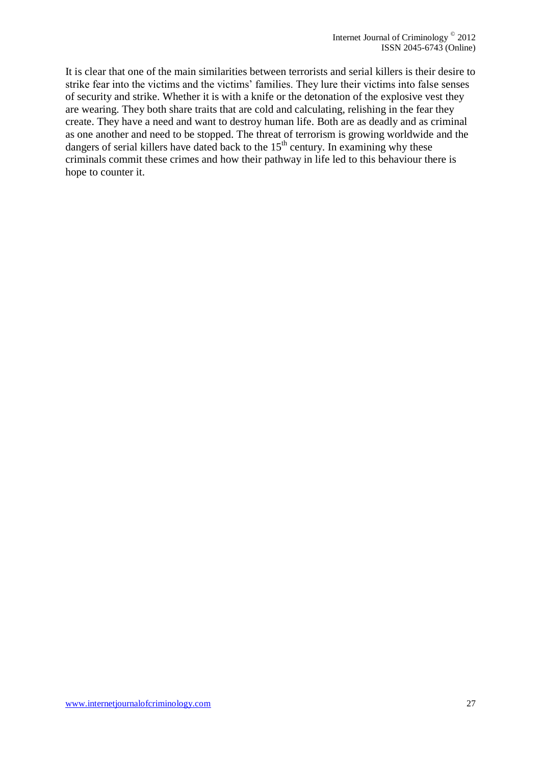It is clear that one of the main similarities between terrorists and serial killers is their desire to strike fear into the victims and the victims' families. They lure their victims into false senses of security and strike. Whether it is with a knife or the detonation of the explosive vest they are wearing. They both share traits that are cold and calculating, relishing in the fear they create. They have a need and want to destroy human life. Both are as deadly and as criminal as one another and need to be stopped. The threat of terrorism is growing worldwide and the dangers of serial killers have dated back to the  $15<sup>th</sup>$  century. In examining why these criminals commit these crimes and how their pathway in life led to this behaviour there is hope to counter it.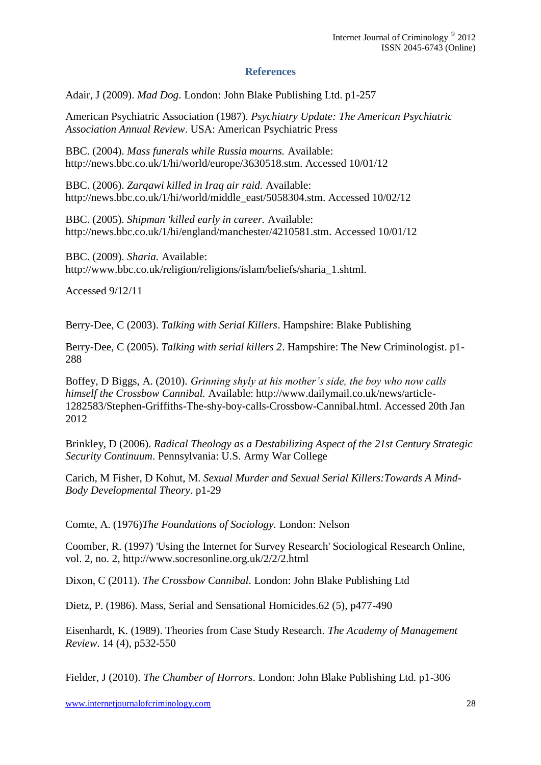## **References**

Adair, J (2009). *Mad Dog*. London: John Blake Publishing Ltd. p1-257

American Psychiatric Association (1987). *Psychiatry Update: The American Psychiatric Association Annual Review*. USA: American Psychiatric Press

BBC. (2004). *Mass funerals while Russia mourns.* Available: http://news.bbc.co.uk/1/hi/world/europe/3630518.stm. Accessed 10/01/12

BBC. (2006). *Zarqawi killed in Iraq air raid.* Available: http://news.bbc.co.uk/1/hi/world/middle\_east/5058304.stm. Accessed 10/02/12

BBC. (2005). *Shipman 'killed early in career.* Available: http://news.bbc.co.uk/1/hi/england/manchester/4210581.stm. Accessed 10/01/12

BBC. (2009). *Sharia.* Available: http://www.bbc.co.uk/religion/religions/islam/beliefs/sharia\_1.shtml.

Accessed 9/12/11

Berry-Dee, C (2003). *Talking with Serial Killers*. Hampshire: Blake Publishing

Berry-Dee, C (2005). *Talking with serial killers 2*. Hampshire: The New Criminologist. p1- 288

Boffey, D Biggs, A. (2010). *Grinning shyly at his mother's side, the boy who now calls himself the Crossbow Cannibal.* Available: http://www.dailymail.co.uk/news/article-1282583/Stephen-Griffiths-The-shy-boy-calls-Crossbow-Cannibal.html. Accessed 20th Jan 2012

Brinkley, D (2006). *Radical Theology as a Destabilizing Aspect of the 21st Century Strategic Security Continuum*. Pennsylvania: U.S. Army War College

Carich, M Fisher, D Kohut, M. *Sexual Murder and Sexual Serial Killers:Towards A Mind-Body Developmental Theory*. p1-29

Comte, A. (1976)*The Foundations of Sociology.* London: Nelson

Coomber, R. (1997) 'Using the Internet for Survey Research' Sociological Research Online, vol. 2, no. 2, http://www.socresonline.org.uk/2/2/2.html

Dixon, C (2011). *The Crossbow Cannibal*. London: John Blake Publishing Ltd

Dietz, P. (1986). Mass, Serial and Sensational Homicides.62 (5), p477-490

Eisenhardt, K. (1989). Theories from Case Study Research. *The Academy of Management Review*. 14 (4), p532-550

Fielder, J (2010). *The Chamber of Horrors*. London: John Blake Publishing Ltd. p1-306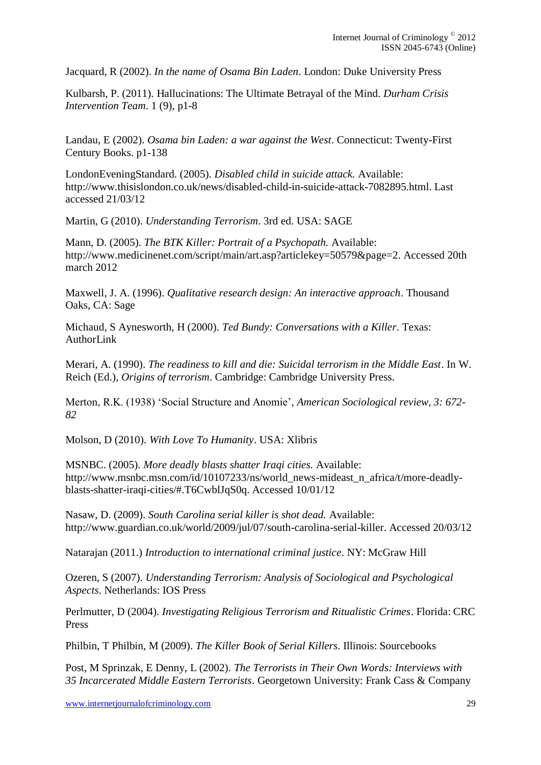Jacquard, R (2002). *In the name of Osama Bin Laden*. London: Duke University Press

Kulbarsh, P. (2011). Hallucinations: The Ultimate Betrayal of the Mind. *Durham Crisis Intervention Team*. 1 (9), p1-8

Landau, E (2002). *Osama bin Laden: a war against the West*. Connecticut: Twenty-First Century Books. p1-138

LondonEveningStandard. (2005). *Disabled child in suicide attack.* Available: http://www.thisislondon.co.uk/news/disabled-child-in-suicide-attack-7082895.html. Last accessed 21/03/12

Martin, G (2010). *Understanding Terrorism*. 3rd ed. USA: SAGE

Mann, D. (2005). *The BTK Killer: Portrait of a Psychopath.* Available: http://www.medicinenet.com/script/main/art.asp?articlekey=50579&page=2. Accessed 20th march 2012

Maxwell, J. A. (1996). *Qualitative research design: An interactive approach*. Thousand Oaks, CA: Sage

Michaud, S Aynesworth, H (2000). *Ted Bundy: Conversations with a Killer*. Texas: AuthorLink

Merari, A. (1990). *The readiness to kill and die: Suicidal terrorism in the Middle East*. In W. Reich (Ed.), *Origins of terrorism*. Cambridge: Cambridge University Press.

Merton, R.K. (1938) 'Social Structure and Anomie', *American Sociological review, 3: 672- 82*

Molson, D (2010). *With Love To Humanity*. USA: Xlibris

MSNBC. (2005). *More deadly blasts shatter Iraqi cities.* Available: http://www.msnbc.msn.com/id/10107233/ns/world\_news-mideast\_n\_africa/t/more-deadlyblasts-shatter-iraqi-cities/#.T6CwblJqS0q. Accessed 10/01/12

Nasaw, D. (2009). *South Carolina serial killer is shot dead.* Available: http://www.guardian.co.uk/world/2009/jul/07/south-carolina-serial-killer. Accessed 20/03/12

Natarajan (2011.) *Introduction to international criminal justice*. NY: McGraw Hill

Ozeren, S (2007). *Understanding Terrorism: Analysis of Sociological and Psychological Aspects*. Netherlands: IOS Press

Perlmutter, D (2004). *Investigating Religious Terrorism and Ritualistic Crimes*. Florida: CRC Press

Philbin, T Philbin, M (2009). *The Killer Book of Serial Killers*. Illinois: Sourcebooks

Post, M Sprinzak, E Denny, L (2002). *The Terrorists in Their Own Words: Interviews with 35 Incarcerated Middle Eastern Terrorists*. Georgetown University: Frank Cass & Company